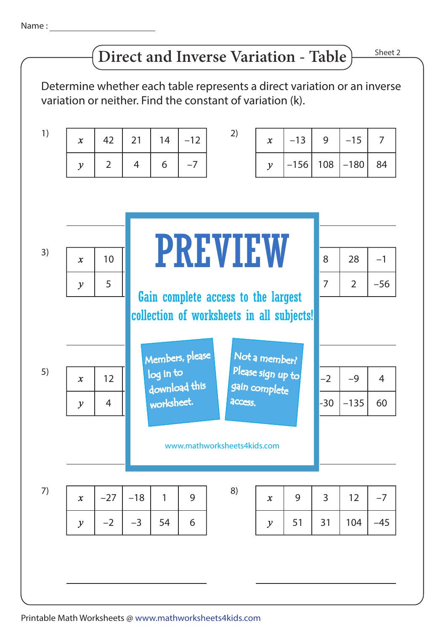Name :

## **Direct and Inverse Variation - Table**

Sheet 2

Determine whether each table represents a direct variation or an inverse variation or neither. Find the constant of variation (k).

| 1) | $\boldsymbol{x}$                                                                 | 42             | 21    | 14                               | $-12$         | 2)                                 | $\boldsymbol{x}$    | $-13$  | 9     | $-15$          | $\overline{7}$ |
|----|----------------------------------------------------------------------------------|----------------|-------|----------------------------------|---------------|------------------------------------|---------------------|--------|-------|----------------|----------------|
|    | $\mathcal{Y}$                                                                    | $\overline{2}$ | 4     | 6                                | $-7$          |                                    | $\mathcal{Y}$       | $-156$ | 108   | $-180$         | 84             |
|    |                                                                                  |                |       |                                  |               |                                    |                     |        |       |                |                |
|    |                                                                                  |                |       |                                  |               |                                    |                     |        |       |                |                |
|    |                                                                                  |                |       | <b>PREVIEW</b>                   |               |                                    |                     |        |       |                |                |
| 3) | $\mathbf{x}$                                                                     | 10             |       |                                  |               |                                    |                     |        | 8     | 28             | $-1$           |
|    | $\mathcal{Y}$                                                                    | 5              |       |                                  |               |                                    |                     |        |       | $\overline{2}$ | $-56$          |
|    | Gain complete access to the largest<br>collection of worksheets in all subjects! |                |       |                                  |               |                                    |                     |        |       |                |                |
|    |                                                                                  |                |       |                                  |               |                                    |                     |        |       |                |                |
|    |                                                                                  |                |       | Members, please<br>Not a member? |               |                                    |                     |        |       |                |                |
| 5) | $\mathbf{x}$                                                                     | 12             |       | log in to                        | download this | Please sign up to<br>gain complete |                     |        | $-2$  | $-9$           | $\overline{4}$ |
|    | $\mathcal{Y}$                                                                    | $\overline{4}$ |       | worksheet.                       |               | <b>ACCESS.</b>                     |                     |        | $-30$ | $-135$         | 60             |
|    |                                                                                  |                |       |                                  |               |                                    |                     |        |       |                |                |
|    | www.mathworksheets4kids.com                                                      |                |       |                                  |               |                                    |                     |        |       |                |                |
|    |                                                                                  |                |       |                                  |               |                                    |                     |        |       |                |                |
| 7) | $\boldsymbol{x}$                                                                 | $-27$          | $-18$ | 1                                | 9             | 8)                                 | $\boldsymbol{\chi}$ | 9      | 3     | 12             | $-7$           |
|    | $\mathcal{Y}$                                                                    | $-2$           | $-3$  | 54                               | 6             |                                    | $\mathcal{Y}$       | 51     | 31    | 104            | $-45$          |
|    |                                                                                  |                |       |                                  |               |                                    |                     |        |       |                |                |
|    |                                                                                  |                |       |                                  |               |                                    |                     |        |       |                |                |